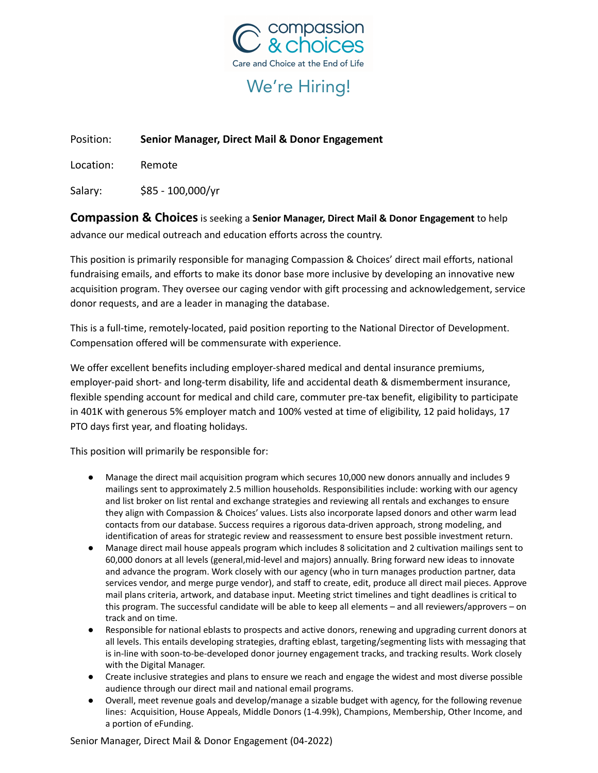

# We're Hiring!

## Position: **Senior Manager, Direct Mail & Donor Engagement**

Location: Remote

Salary: \$85 - 100,000/yr

**Compassion & Choices**is seeking a **Senior Manager, Direct Mail & Donor Engagement** to help advance our medical outreach and education efforts across the country.

This position is primarily responsible for managing Compassion & Choices' direct mail efforts, national fundraising emails, and efforts to make its donor base more inclusive by developing an innovative new acquisition program. They oversee our caging vendor with gift processing and acknowledgement, service donor requests, and are a leader in managing the database.

This is a full-time, remotely-located, paid position reporting to the National Director of Development. Compensation offered will be commensurate with experience.

We offer excellent benefits including employer-shared medical and dental insurance premiums, employer-paid short- and long-term disability, life and accidental death & dismemberment insurance, flexible spending account for medical and child care, commuter pre-tax benefit, eligibility to participate in 401K with generous 5% employer match and 100% vested at time of eligibility, 12 paid holidays, 17 PTO days first year, and floating holidays.

This position will primarily be responsible for:

- Manage the direct mail acquisition program which secures 10,000 new donors annually and includes 9 mailings sent to approximately 2.5 million households. Responsibilities include: working with our agency and list broker on list rental and exchange strategies and reviewing all rentals and exchanges to ensure they align with Compassion & Choices' values. Lists also incorporate lapsed donors and other warm lead contacts from our database. Success requires a rigorous data-driven approach, strong modeling, and identification of areas for strategic review and reassessment to ensure best possible investment return.
- Manage direct mail house appeals program which includes 8 solicitation and 2 cultivation mailings sent to 60,000 donors at all levels (general,mid-level and majors) annually. Bring forward new ideas to innovate and advance the program. Work closely with our agency (who in turn manages production partner, data services vendor, and merge purge vendor), and staff to create, edit, produce all direct mail pieces. Approve mail plans criteria, artwork, and database input. Meeting strict timelines and tight deadlines is critical to this program. The successful candidate will be able to keep all elements – and all reviewers/approvers – on track and on time.
- Responsible for national eblasts to prospects and active donors, renewing and upgrading current donors at all levels. This entails developing strategies, drafting eblast, targeting/segmenting lists with messaging that is in-line with soon-to-be-developed donor journey engagement tracks, and tracking results. Work closely with the Digital Manager.
- Create inclusive strategies and plans to ensure we reach and engage the widest and most diverse possible audience through our direct mail and national email programs.
- Overall, meet revenue goals and develop/manage a sizable budget with agency, for the following revenue lines: Acquisition, House Appeals, Middle Donors (1-4.99k), Champions, Membership, Other Income, and a portion of eFunding.

Senior Manager, Direct Mail & Donor Engagement (04-2022)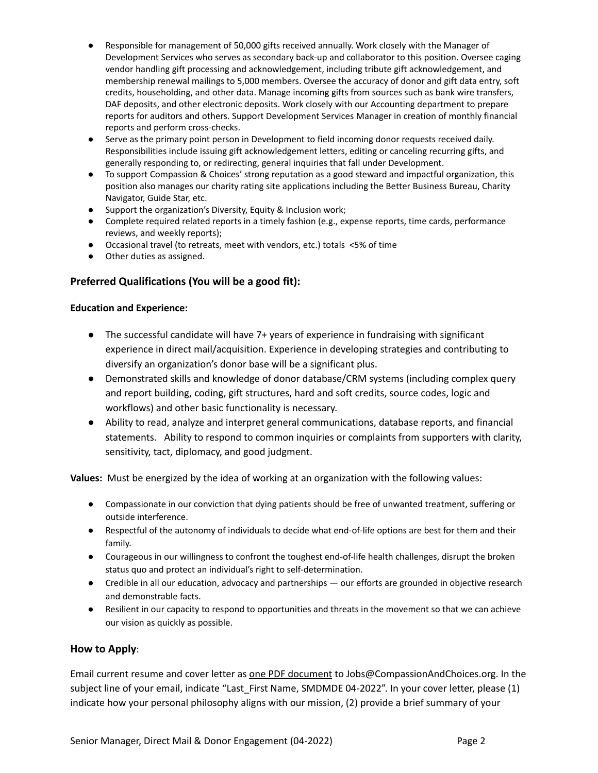- Responsible for management of 50,000 gifts received annually. Work closely with the Manager of Development Services who serves as secondary back-up and collaborator to this position. Oversee caging vendor handling gift processing and acknowledgement, including tribute gift acknowledgement, and membership renewal mailings to 5,000 members. Oversee the accuracy of donor and gift data entry, soft credits, householding, and other data. Manage incoming gifts from sources such as bank wire transfers, DAF deposits, and other electronic deposits. Work closely with our Accounting department to prepare reports for auditors and others. Support Development Services Manager in creation of monthly financial reports and perform cross-checks.
- Serve as the primary point person in Development to field incoming donor requests received daily. Responsibilities include issuing gift acknowledgement letters, editing or canceling recurring gifts, and generally responding to, or redirecting, general inquiries that fall under Development.
- To support Compassion & Choices' strong reputation as a good steward and impactful organization, this position also manages our charity rating site applications including the Better Business Bureau, Charity Navigator, Guide Star, etc.
- Support the organization's Diversity, Equity & Inclusion work;
- Complete required related reports in a timely fashion (e.g., expense reports, time cards, performance reviews, and weekly reports);
- Occasional travel (to retreats, meet with vendors, etc.) totals <5% of time
- Other duties as assigned.

## **Preferred Qualifications (You will be a good fit):**

#### **Education and Experience:**

- The successful candidate will have 7+ years of experience in fundraising with significant experience in direct mail/acquisition. Experience in developing strategies and contributing to diversify an organization's donor base will be a significant plus.
- Demonstrated skills and knowledge of donor database/CRM systems (including complex query and report building, coding, gift structures, hard and soft credits, source codes, logic and workflows) and other basic functionality is necessary.
- Ability to read, analyze and interpret general communications, database reports, and financial statements. Ability to respond to common inquiries or complaints from supporters with clarity, sensitivity, tact, diplomacy, and good judgment.

**Values:** Must be energized by the idea of working at an organization with the following values:

- Compassionate in our conviction that dying patients should be free of unwanted treatment, suffering or outside interference.
- Respectful of the autonomy of individuals to decide what end-of-life options are best for them and their family.
- Courageous in our willingness to confront the toughest end-of-life health challenges, disrupt the broken status quo and protect an individual's right to self-determination.
- Credible in all our education, advocacy and partnerships our efforts are grounded in objective research and demonstrable facts.
- Resilient in our capacity to respond to opportunities and threats in the movement so that we can achieve our vision as quickly as possible.

#### **How to Apply**:

Email current resume and cover letter as one PDF document to Jobs@CompassionAndChoices.org. In the subject line of your email, indicate "Last First Name, SMDMDE 04-2022". In your cover letter, please (1) indicate how your personal philosophy aligns with our mission, (2) provide a brief summary of your